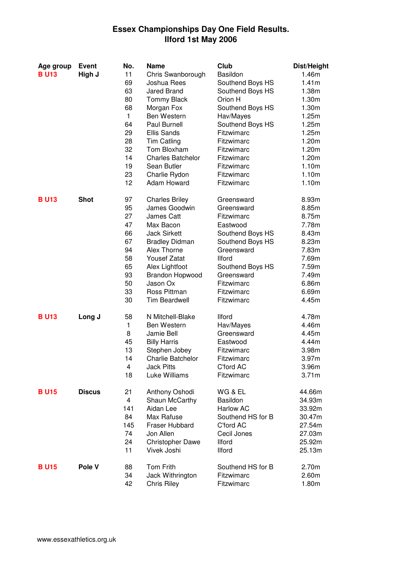## **Essex Championships Day One Field Results. Ilford 1st May 2006**

| Age group   | Event         | No. | Name                     | Club              | Dist/Height       |
|-------------|---------------|-----|--------------------------|-------------------|-------------------|
| <b>BU13</b> | High J        | 11  | Chris Swanborough        | Basildon          | 1.46m             |
|             |               | 69  | Joshua Rees              | Southend Boys HS  | 1.41m             |
|             |               | 63  | Jared Brand              | Southend Boys HS  | 1.38m             |
|             |               | 80  | <b>Tommy Black</b>       | Orion H           | 1.30m             |
|             |               | 68  | Morgan Fox               | Southend Boys HS  | 1.30m             |
|             |               | 1   | Ben Western              | Hav/Mayes         | 1.25m             |
|             |               | 64  | Paul Burnell             | Southend Boys HS  | 1.25m             |
|             |               | 29  | <b>Ellis Sands</b>       | Fitzwimarc        | 1.25m             |
|             |               | 28  | <b>Tim Catling</b>       | Fitzwimarc        | 1.20m             |
|             |               | 32  | Tom Bloxham              | Fitzwimarc        | 1.20m             |
|             |               | 14  | <b>Charles Batchelor</b> | Fitzwimarc        | 1.20m             |
|             |               | 19  | Sean Butler              | Fitzwimarc        | 1.10m             |
|             |               | 23  | Charlie Rydon            | Fitzwimarc        | 1.10m             |
|             |               | 12  | Adam Howard              | Fitzwimarc        | 1.10m             |
| <b>BU13</b> | <b>Shot</b>   | 97  | <b>Charles Briley</b>    | Greensward        | 8.93m             |
|             |               | 95  | James Goodwin            | Greensward        | 8.85m             |
|             |               | 27  | James Catt               | Fitzwimarc        | 8.75m             |
|             |               | 47  | Max Bacon                | Eastwood          | 7.78m             |
|             |               | 66  | <b>Jack Sirkett</b>      | Southend Boys HS  | 8.43m             |
|             |               | 67  | <b>Bradley Didman</b>    | Southend Boys HS  | 8.23m             |
|             |               | 94  | Alex Thorne              | Greensward        | 7.83m             |
|             |               | 58  | <b>Yousef Zatat</b>      | <b>Ilford</b>     | 7.69m             |
|             |               | 65  | Alex Lightfoot           | Southend Boys HS  | 7.59m             |
|             |               | 93  | Brandon Hopwood          | Greensward        | 7.49m             |
|             |               | 50  | Jason Ox                 | Fitzwimarc        | 6.86m             |
|             |               | 33  | Ross Pittman             | Fitzwimarc        | 6.69m             |
|             |               | 30  | <b>Tim Beardwell</b>     | Fitzwimarc        | 4.45m             |
| <b>BU13</b> | Long J        | 58  | N Mitchell-Blake         | <b>Ilford</b>     | 4.78m             |
|             |               | 1.  | Ben Western              | Hav/Mayes         | 4.46m             |
|             |               | 8   | Jamie Bell               | Greensward        | 4.45m             |
|             |               | 45  | <b>Billy Harris</b>      | Eastwood          | 4.44m             |
|             |               | 13  | Stephen Jobey            | Fitzwimarc        | 3.98m             |
|             |               | 14  | <b>Charlie Batchelor</b> | Fitzwimarc        | 3.97 <sub>m</sub> |
|             |               | 4   | <b>Jack Pitts</b>        | C'ford AC         | 3.96m             |
|             |               | 18  | Luke Williams            | Fitzwimarc        | 3.71m             |
| <b>BU15</b> | <b>Discus</b> | 21  | Anthony Oshodi           | WG & EL           | 44.66m            |
|             |               | 4   | Shaun McCarthy           | Basildon          | 34.93m            |
|             |               | 141 | Aidan Lee                | <b>Harlow AC</b>  | 33.92m            |
|             |               | 84  | Max Rafuse               | Southend HS for B | 30.47m            |
|             |               | 145 | Fraser Hubbard           | C'ford AC         | 27.54m            |
|             |               | 74  | Jon Allen                | Cecil Jones       | 27.03m            |
|             |               | 24  | <b>Christopher Dawe</b>  | <b>Ilford</b>     | 25.92m            |
|             |               | 11  | Vivek Joshi              | <b>Ilford</b>     | 25.13m            |
| <b>BU15</b> | Pole V        | 88  | Tom Frith                | Southend HS for B | 2.70m             |
|             |               | 34  | Jack Withrington         | Fitzwimarc        | 2.60m             |
|             |               | 42  | <b>Chris Riley</b>       | Fitzwimarc        | 1.80m             |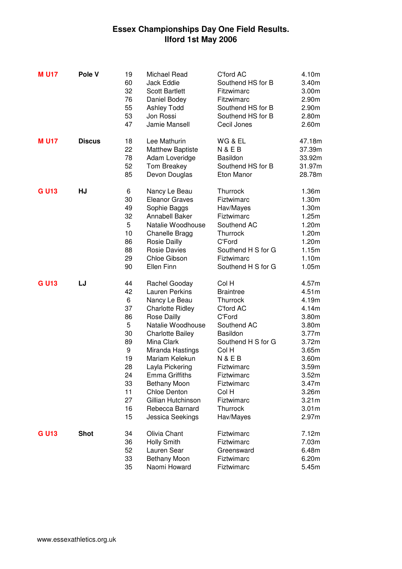## **Essex Championships Day One Field Results. Ilford 1st May 2006**

| <b>MU17</b> | Pole V        | 19<br>60<br>32<br>76<br>55<br>53<br>47                                                          | Michael Read<br>Jack Eddie<br><b>Scott Bartlett</b><br>Daniel Bodey<br><b>Ashley Todd</b><br>Jon Rossi<br>Jamie Mansell                                                                                                                                                                                                                               | C'ford AC<br>Southend HS for B<br>Fitzwimarc<br>Fitzwimarc<br>Southend HS for B<br>Southend HS for B<br>Cecil Jones                                                                                                                 | 4.10m<br>3.40m<br>3.00m<br>2.90m<br>2.90m<br>2.80m<br>2.60m                                                                                                                               |
|-------------|---------------|-------------------------------------------------------------------------------------------------|-------------------------------------------------------------------------------------------------------------------------------------------------------------------------------------------------------------------------------------------------------------------------------------------------------------------------------------------------------|-------------------------------------------------------------------------------------------------------------------------------------------------------------------------------------------------------------------------------------|-------------------------------------------------------------------------------------------------------------------------------------------------------------------------------------------|
| <b>MU17</b> | <b>Discus</b> | 18<br>22<br>78<br>52<br>85                                                                      | Lee Mathurin<br>Matthew Baptiste<br>Adam Loveridge<br>Tom Breakey<br>Devon Douglas                                                                                                                                                                                                                                                                    | WG & EL<br><b>N&amp;EB</b><br>Basildon<br>Southend HS for B<br>Eton Manor                                                                                                                                                           | 47.18m<br>37.39m<br>33.92m<br>31.97m<br>28.78m                                                                                                                                            |
| <b>GU13</b> | HJ            | 6<br>30<br>49<br>32<br>5<br>10<br>86<br>88<br>29<br>90                                          | Nancy Le Beau<br><b>Eleanor Graves</b><br>Sophie Baggs<br>Annabell Baker<br>Natalie Woodhouse<br>Chanelle Bragg<br><b>Rosie Dailly</b><br><b>Rosie Davies</b><br>Chloe Gibson<br>Ellen Finn                                                                                                                                                           | Thurrock<br>Fiztwimarc<br>Hav/Mayes<br>Fiztwimarc<br>Southend AC<br>Thurrock<br>C'Ford<br>Southend H S for G<br>Fiztwimarc<br>Southend H S for G                                                                                    | 1.36m<br>1.30m<br>1.30m<br>1.25m<br>1.20m<br>1.20m<br>1.20m<br>1.15m<br>1.10m<br>1.05m                                                                                                    |
| <b>GU13</b> | LJ            | 44<br>42<br>6<br>37<br>86<br>5<br>30<br>89<br>9<br>19<br>28<br>24<br>33<br>11<br>27<br>16<br>15 | Rachel Gooday<br>Lauren Perkins<br>Nancy Le Beau<br><b>Charlotte Ridley</b><br><b>Rose Dailly</b><br>Natalie Woodhouse<br><b>Charlotte Bailey</b><br>Mina Clark<br>Miranda Hastings<br>Mariam Kelekun<br>Layla Pickering<br><b>Emma Griffiths</b><br><b>Bethany Moon</b><br>Chloe Denton<br>Gillian Hutchinson<br>Rebecca Barnard<br>Jessica Seekings | Col H<br><b>Braintree</b><br>Thurrock<br>C'ford AC<br>C'Ford<br>Southend AC<br>Basildon<br>Southend H S for G<br>Col H<br><b>N&amp;EB</b><br>Fiztwimarc<br>Fiztwimarc<br>Fiztwimarc<br>Col H<br>Fiztwimarc<br>Thurrock<br>Hav/Mayes | 4.57m<br>4.51m<br>4.19m<br>4.14m<br>3.80m<br>3.80m<br>3.77m<br>3.72m<br>3.65m<br>3.60m<br>3.59 <sub>m</sub><br>3.52m<br>3.47m<br>3.26m<br>3.21 <sub>m</sub><br>3.01 <sub>m</sub><br>2.97m |
| <b>GU13</b> | <b>Shot</b>   | 34<br>36<br>52<br>33<br>35                                                                      | Olivia Chant<br><b>Holly Smith</b><br>Lauren Sear<br><b>Bethany Moon</b><br>Naomi Howard                                                                                                                                                                                                                                                              | Fiztwimarc<br>Fiztwimarc<br>Greensward<br>Fiztwimarc<br>Fiztwimarc                                                                                                                                                                  | 7.12m<br>7.03m<br>6.48m<br>6.20m<br>5.45m                                                                                                                                                 |